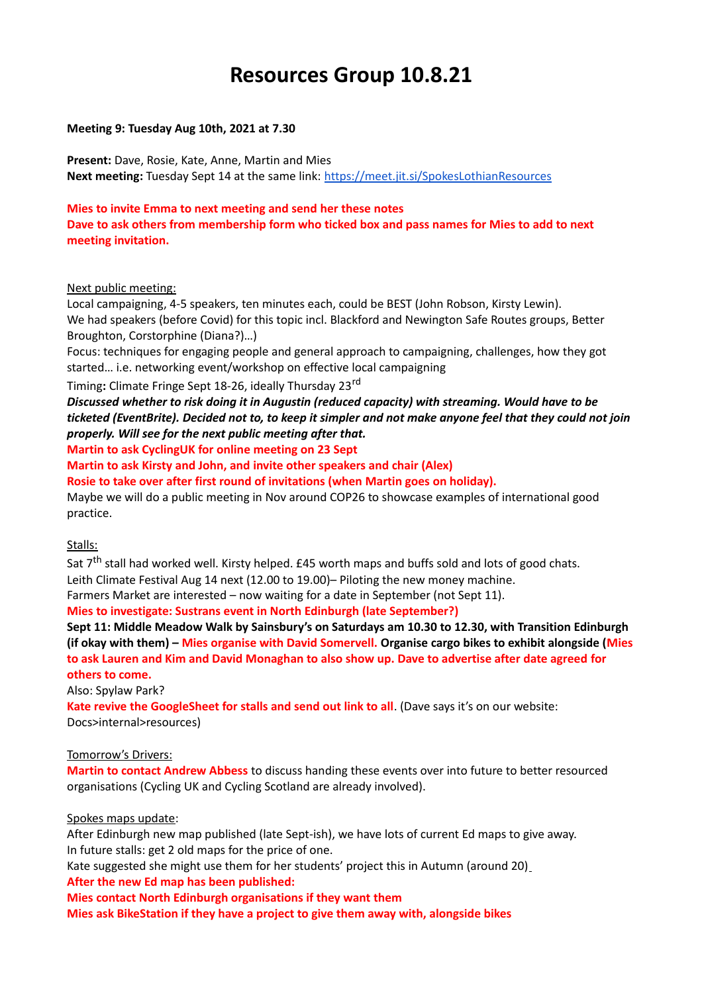# **Resources Group 10.8.21**

## **Meeting 9: Tuesday Aug 10th, 2021 at 7.30**

**Present:** Dave, Rosie, Kate, Anne, Martin and Mies **Next meeting:** Tuesday Sept 14 at the same link:<https://meet.jit.si/SpokesLothianResources>

## **Mies to invite Emma to next meeting and send her these notes**

**Dave to ask others from membership form who ticked box and pass names for Mies to add to next meeting invitation.**

#### Next public meeting:

Local campaigning, 4-5 speakers, ten minutes each, could be BEST (John Robson, Kirsty Lewin). We had speakers (before Covid) for this topic incl. Blackford and Newington Safe Routes groups, Better Broughton, Corstorphine (Diana?)…)

Focus: techniques for engaging people and general approach to campaigning, challenges, how they got started… i.e. networking event/workshop on effective local campaigning

Timing**:** Climate Fringe Sept 18-26, ideally Thursday 23rd

*Discussed whether to risk doing it in Augustin (reduced capacity) with streaming. Would have to be ticketed (EventBrite). Decided not to, to keep it simpler and not make anyone feel that they could not join properly. Will see for the next public meeting after that.*

**Martin to ask CyclingUK for online meeting on 23 Sept** 

**Martin to ask Kirsty and John, and invite other speakers and chair (Alex)**

**Rosie to take over after first round of invitations (when Martin goes on holiday).**

Maybe we will do a public meeting in Nov around COP26 to showcase examples of international good practice.

# Stalls:

Sat 7<sup>th</sup> stall had worked well. Kirsty helped. £45 worth maps and buffs sold and lots of good chats. Leith Climate Festival Aug 14 next (12.00 to 19.00)– Piloting the new money machine. Farmers Market are interested – now waiting for a date in September (not Sept 11).

**Mies to investigate: Sustrans event in North Edinburgh (late September?)**

**Sept 11: Middle Meadow Walk by Sainsbury's on Saturdays am 10.30 to 12.30, with Transition Edinburgh (if okay with them) – Mies organise with David Somervell. Organise cargo bikes to exhibit alongside (Mies to ask Lauren and Kim and David Monaghan to also show up. Dave to advertise after date agreed for others to come.**

Also: Spylaw Park?

**Kate revive the GoogleSheet for stalls and send out link to all**. (Dave says it's on our website: Docs>internal>resources)

# Tomorrow's Drivers:

**Martin to contact Andrew Abbess** to discuss handing these events over into future to better resourced organisations (Cycling UK and Cycling Scotland are already involved).

# Spokes maps update:

After Edinburgh new map published (late Sept-ish), we have lots of current Ed maps to give away. In future stalls: get 2 old maps for the price of one.

Kate suggested she might use them for her students' project this in Autumn (around 20)

**After the new Ed map has been published:**

**Mies contact North Edinburgh organisations if they want them**

**Mies ask BikeStation if they have a project to give them away with, alongside bikes**